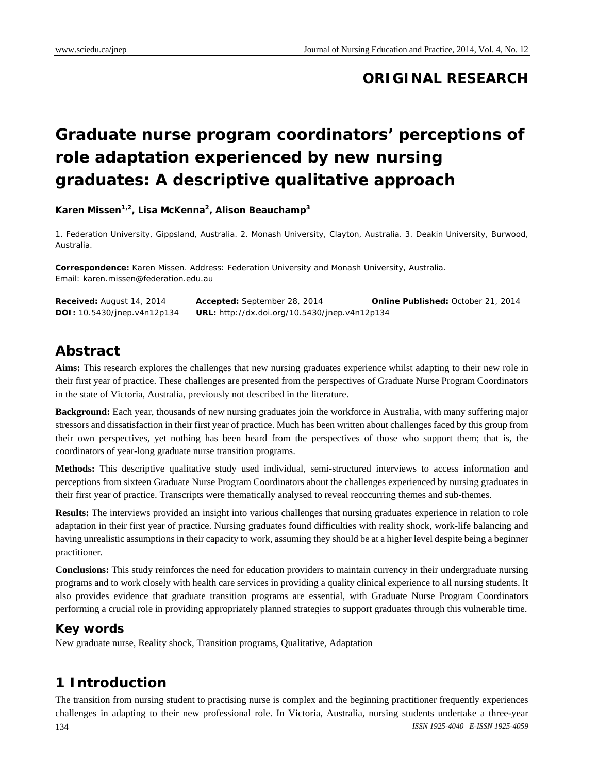## **ORIGINAL RESEARCH**

# **Graduate nurse program coordinators' perceptions of role adaptation experienced by new nursing graduates: A descriptive qualitative approach**

**Karen Missen1,2, Lisa McKenna2, Alison Beauchamp3** 

1. Federation University, Gippsland, Australia. 2. Monash University, Clayton, Australia. 3. Deakin University, Burwood, Australia.

**Correspondence:** Karen Missen. Address: Federation University and Monash University, Australia. Email: karen.missen@federation.edu.au

**Received:** August 14, 2014 **Accepted:** September 28, 2014 **Online Published:** October 21, 2014 **DOI:** 10.5430/jnep.v4n12p134 **URL:** http://dx.doi.org/10.5430/jnep.v4n12p134

## **Abstract**

**Aims:** This research explores the challenges that new nursing graduates experience whilst adapting to their new role in their first year of practice. These challenges are presented from the perspectives of Graduate Nurse Program Coordinators in the state of Victoria, Australia, previously not described in the literature.

**Background:** Each year, thousands of new nursing graduates join the workforce in Australia, with many suffering major stressors and dissatisfaction in their first year of practice. Much has been written about challenges faced by this group from their own perspectives, yet nothing has been heard from the perspectives of those who support them; that is, the coordinators of year-long graduate nurse transition programs.

**Methods:** This descriptive qualitative study used individual, semi-structured interviews to access information and perceptions from sixteen Graduate Nurse Program Coordinators about the challenges experienced by nursing graduates in their first year of practice. Transcripts were thematically analysed to reveal reoccurring themes and sub-themes.

**Results:** The interviews provided an insight into various challenges that nursing graduates experience in relation to role adaptation in their first year of practice. Nursing graduates found difficulties with reality shock, work-life balancing and having unrealistic assumptions in their capacity to work, assuming they should be at a higher level despite being a beginner practitioner.

**Conclusions:** This study reinforces the need for education providers to maintain currency in their undergraduate nursing programs and to work closely with health care services in providing a quality clinical experience to all nursing students. It also provides evidence that graduate transition programs are essential, with Graduate Nurse Program Coordinators performing a crucial role in providing appropriately planned strategies to support graduates through this vulnerable time.

#### **Key words**

New graduate nurse, Reality shock, Transition programs, Qualitative, Adaptation

## **1 Introduction**

134 *ISSN 1925-4040 E-ISSN 1925-4059*  The transition from nursing student to practising nurse is complex and the beginning practitioner frequently experiences challenges in adapting to their new professional role. In Victoria, Australia, nursing students undertake a three-year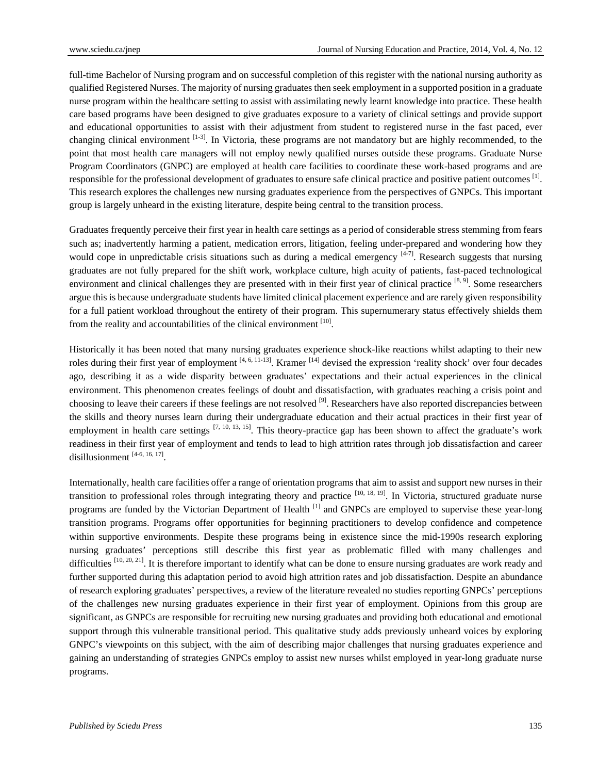full-time Bachelor of Nursing program and on successful completion of this register with the national nursing authority as qualified Registered Nurses. The majority of nursing graduates then seek employment in a supported position in a graduate nurse program within the healthcare setting to assist with assimilating newly learnt knowledge into practice. These health care based programs have been designed to give graduates exposure to a variety of clinical settings and provide support and educational opportunities to assist with their adjustment from student to registered nurse in the fast paced, ever changing clinical environment  $[1-3]$ . In Victoria, these programs are not mandatory but are highly recommended, to the point that most health care managers will not employ newly qualified nurses outside these programs. Graduate Nurse Program Coordinators (GNPC) are employed at health care facilities to coordinate these work-based programs and are responsible for the professional development of graduates to ensure safe clinical practice and positive patient outcomes  $^{[1]}$ . This research explores the challenges new nursing graduates experience from the perspectives of GNPCs. This important group is largely unheard in the existing literature, despite being central to the transition process.

Graduates frequently perceive their first year in health care settings as a period of considerable stress stemming from fears such as; inadvertently harming a patient, medication errors, litigation, feeling under-prepared and wondering how they would cope in unpredictable crisis situations such as during a medical emergency  $[4-7]$ . Research suggests that nursing graduates are not fully prepared for the shift work, workplace culture, high acuity of patients, fast-paced technological environment and clinical challenges they are presented with in their first year of clinical practice  $[8, 9]$ . Some researchers argue this is because undergraduate students have limited clinical placement experience and are rarely given responsibility for a full patient workload throughout the entirety of their program. This supernumerary status effectively shields them from the reality and accountabilities of the clinical environment [10].

Historically it has been noted that many nursing graduates experience shock-like reactions whilst adapting to their new roles during their first year of employment  $[4, 6, 11-13]$ . Kramer  $[14]$  devised the expression 'reality shock' over four decades ago, describing it as a wide disparity between graduates' expectations and their actual experiences in the clinical environment. This phenomenon creates feelings of doubt and dissatisfaction, with graduates reaching a crisis point and choosing to leave their careers if these feelings are not resolved [9]. Researchers have also reported discrepancies between the skills and theory nurses learn during their undergraduate education and their actual practices in their first year of employment in health care settings  $[7, 10, 13, 15]$ . This theory-practice gap has been shown to affect the graduate's work readiness in their first year of employment and tends to lead to high attrition rates through job dissatisfaction and career disillusionment  $[4-6, 16, 17]$ .

Internationally, health care facilities offer a range of orientation programs that aim to assist and support new nurses in their transition to professional roles through integrating theory and practice  $[10, 18, 19]$ . In Victoria, structured graduate nurse programs are funded by the Victorian Department of Health [1] and GNPCs are employed to supervise these year-long transition programs. Programs offer opportunities for beginning practitioners to develop confidence and competence within supportive environments. Despite these programs being in existence since the mid-1990s research exploring nursing graduates' perceptions still describe this first year as problematic filled with many challenges and difficulties <sup>[10, 20, 21]</sup>. It is therefore important to identify what can be done to ensure nursing graduates are work ready and further supported during this adaptation period to avoid high attrition rates and job dissatisfaction. Despite an abundance of research exploring graduates' perspectives, a review of the literature revealed no studies reporting GNPCs' perceptions of the challenges new nursing graduates experience in their first year of employment. Opinions from this group are significant, as GNPCs are responsible for recruiting new nursing graduates and providing both educational and emotional support through this vulnerable transitional period. This qualitative study adds previously unheard voices by exploring GNPC's viewpoints on this subject, with the aim of describing major challenges that nursing graduates experience and gaining an understanding of strategies GNPCs employ to assist new nurses whilst employed in year-long graduate nurse programs.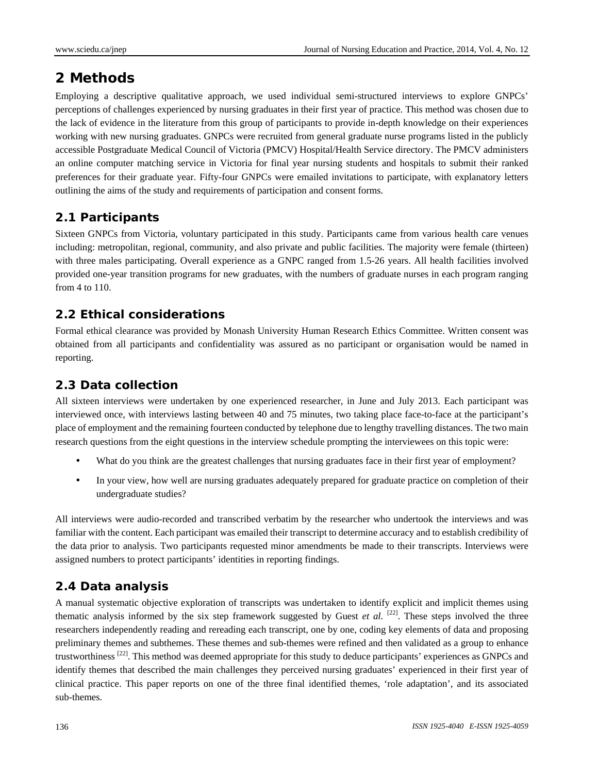# **2 Methods**

Employing a descriptive qualitative approach, we used individual semi-structured interviews to explore GNPCs' perceptions of challenges experienced by nursing graduates in their first year of practice. This method was chosen due to the lack of evidence in the literature from this group of participants to provide in-depth knowledge on their experiences working with new nursing graduates. GNPCs were recruited from general graduate nurse programs listed in the publicly accessible Postgraduate Medical Council of Victoria (PMCV) Hospital/Health Service directory. The PMCV administers an online computer matching service in Victoria for final year nursing students and hospitals to submit their ranked preferences for their graduate year. Fifty-four GNPCs were emailed invitations to participate, with explanatory letters outlining the aims of the study and requirements of participation and consent forms.

## **2.1 Participants**

Sixteen GNPCs from Victoria, voluntary participated in this study. Participants came from various health care venues including: metropolitan, regional, community, and also private and public facilities. The majority were female (thirteen) with three males participating. Overall experience as a GNPC ranged from 1.5-26 years. All health facilities involved provided one-year transition programs for new graduates, with the numbers of graduate nurses in each program ranging from 4 to 110.

## **2.2 Ethical considerations**

Formal ethical clearance was provided by Monash University Human Research Ethics Committee. Written consent was obtained from all participants and confidentiality was assured as no participant or organisation would be named in reporting.

#### **2.3 Data collection**

All sixteen interviews were undertaken by one experienced researcher, in June and July 2013. Each participant was interviewed once, with interviews lasting between 40 and 75 minutes, two taking place face-to-face at the participant's place of employment and the remaining fourteen conducted by telephone due to lengthy travelling distances. The two main research questions from the eight questions in the interview schedule prompting the interviewees on this topic were:

- What do you think are the greatest challenges that nursing graduates face in their first year of employment?
- In your view, how well are nursing graduates adequately prepared for graduate practice on completion of their undergraduate studies?

All interviews were audio-recorded and transcribed verbatim by the researcher who undertook the interviews and was familiar with the content. Each participant was emailed their transcript to determine accuracy and to establish credibility of the data prior to analysis. Two participants requested minor amendments be made to their transcripts. Interviews were assigned numbers to protect participants' identities in reporting findings.

## **2.4 Data analysis**

A manual systematic objective exploration of transcripts was undertaken to identify explicit and implicit themes using thematic analysis informed by the six step framework suggested by Guest *et al.*  $[22]$ . These steps involved the three researchers independently reading and rereading each transcript, one by one, coding key elements of data and proposing preliminary themes and subthemes. These themes and sub-themes were refined and then validated as a group to enhance trustworthiness [22]. This method was deemed appropriate for this study to deduce participants' experiences as GNPCs and identify themes that described the main challenges they perceived nursing graduates' experienced in their first year of clinical practice. This paper reports on one of the three final identified themes, 'role adaptation', and its associated sub-themes.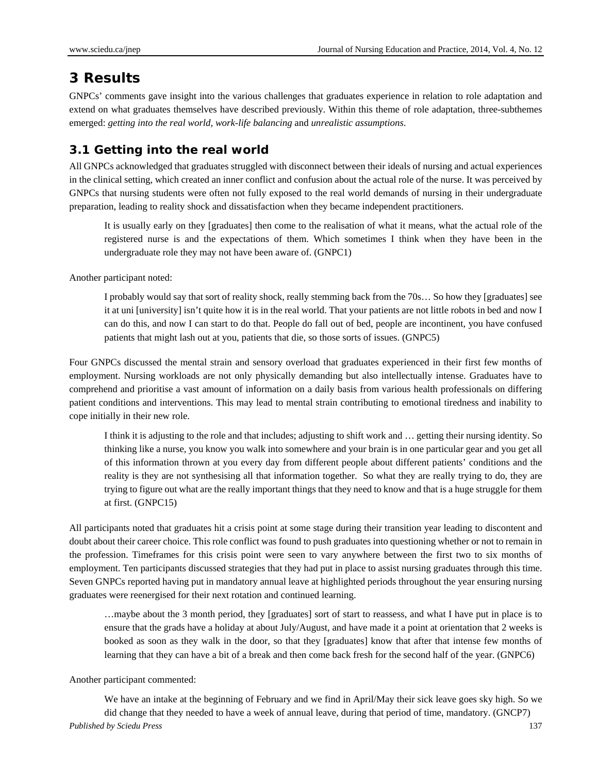## **3 Results**

GNPCs' comments gave insight into the various challenges that graduates experience in relation to role adaptation and extend on what graduates themselves have described previously. Within this theme of role adaptation, three-subthemes emerged: *getting into the real world, work-life balancing* and *unrealistic assumptions*.

#### **3.1 Getting into the real world**

All GNPCs acknowledged that graduates struggled with disconnect between their ideals of nursing and actual experiences in the clinical setting, which created an inner conflict and confusion about the actual role of the nurse. It was perceived by GNPCs that nursing students were often not fully exposed to the real world demands of nursing in their undergraduate preparation, leading to reality shock and dissatisfaction when they became independent practitioners.

It is usually early on they [graduates] then come to the realisation of what it means, what the actual role of the registered nurse is and the expectations of them. Which sometimes I think when they have been in the undergraduate role they may not have been aware of. (GNPC1)

Another participant noted:

I probably would say that sort of reality shock, really stemming back from the 70s… So how they [graduates] see it at uni [university] isn't quite how it is in the real world. That your patients are not little robots in bed and now I can do this, and now I can start to do that. People do fall out of bed, people are incontinent, you have confused patients that might lash out at you, patients that die, so those sorts of issues. (GNPC5)

Four GNPCs discussed the mental strain and sensory overload that graduates experienced in their first few months of employment. Nursing workloads are not only physically demanding but also intellectually intense. Graduates have to comprehend and prioritise a vast amount of information on a daily basis from various health professionals on differing patient conditions and interventions. This may lead to mental strain contributing to emotional tiredness and inability to cope initially in their new role.

I think it is adjusting to the role and that includes; adjusting to shift work and … getting their nursing identity. So thinking like a nurse, you know you walk into somewhere and your brain is in one particular gear and you get all of this information thrown at you every day from different people about different patients' conditions and the reality is they are not synthesising all that information together. So what they are really trying to do, they are trying to figure out what are the really important things that they need to know and that is a huge struggle for them at first. (GNPC15)

All participants noted that graduates hit a crisis point at some stage during their transition year leading to discontent and doubt about their career choice. This role conflict was found to push graduates into questioning whether or not to remain in the profession. Timeframes for this crisis point were seen to vary anywhere between the first two to six months of employment. Ten participants discussed strategies that they had put in place to assist nursing graduates through this time. Seven GNPCs reported having put in mandatory annual leave at highlighted periods throughout the year ensuring nursing graduates were reenergised for their next rotation and continued learning.

…maybe about the 3 month period, they [graduates] sort of start to reassess, and what I have put in place is to ensure that the grads have a holiday at about July/August, and have made it a point at orientation that 2 weeks is booked as soon as they walk in the door, so that they [graduates] know that after that intense few months of learning that they can have a bit of a break and then come back fresh for the second half of the year. (GNPC6)

Another participant commented:

*Published by Sciedu Press* 137 We have an intake at the beginning of February and we find in April/May their sick leave goes sky high. So we did change that they needed to have a week of annual leave, during that period of time, mandatory. (GNCP7)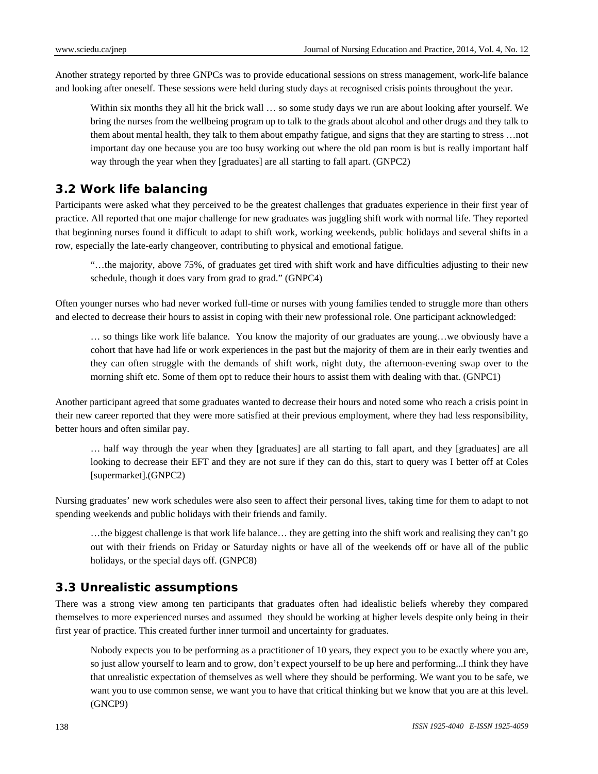Another strategy reported by three GNPCs was to provide educational sessions on stress management, work-life balance and looking after oneself. These sessions were held during study days at recognised crisis points throughout the year.

Within six months they all hit the brick wall ... so some study days we run are about looking after yourself. We bring the nurses from the wellbeing program up to talk to the grads about alcohol and other drugs and they talk to them about mental health, they talk to them about empathy fatigue, and signs that they are starting to stress …not important day one because you are too busy working out where the old pan room is but is really important half way through the year when they [graduates] are all starting to fall apart. (GNPC2)

#### **3.2 Work life balancing**

Participants were asked what they perceived to be the greatest challenges that graduates experience in their first year of practice. All reported that one major challenge for new graduates was juggling shift work with normal life. They reported that beginning nurses found it difficult to adapt to shift work, working weekends, public holidays and several shifts in a row, especially the late-early changeover, contributing to physical and emotional fatigue.

"…the majority, above 75%, of graduates get tired with shift work and have difficulties adjusting to their new schedule, though it does vary from grad to grad." (GNPC4)

Often younger nurses who had never worked full-time or nurses with young families tended to struggle more than others and elected to decrease their hours to assist in coping with their new professional role. One participant acknowledged:

… so things like work life balance. You know the majority of our graduates are young…we obviously have a cohort that have had life or work experiences in the past but the majority of them are in their early twenties and they can often struggle with the demands of shift work, night duty, the afternoon-evening swap over to the morning shift etc. Some of them opt to reduce their hours to assist them with dealing with that. (GNPC1)

Another participant agreed that some graduates wanted to decrease their hours and noted some who reach a crisis point in their new career reported that they were more satisfied at their previous employment, where they had less responsibility, better hours and often similar pay.

… half way through the year when they [graduates] are all starting to fall apart, and they [graduates] are all looking to decrease their EFT and they are not sure if they can do this, start to query was I better off at Coles [supermarket].(GNPC2)

Nursing graduates' new work schedules were also seen to affect their personal lives, taking time for them to adapt to not spending weekends and public holidays with their friends and family.

…the biggest challenge is that work life balance… they are getting into the shift work and realising they can't go out with their friends on Friday or Saturday nights or have all of the weekends off or have all of the public holidays, or the special days off. (GNPC8)

#### **3.3 Unrealistic assumptions**

There was a strong view among ten participants that graduates often had idealistic beliefs whereby they compared themselves to more experienced nurses and assumed they should be working at higher levels despite only being in their first year of practice. This created further inner turmoil and uncertainty for graduates.

Nobody expects you to be performing as a practitioner of 10 years, they expect you to be exactly where you are, so just allow yourself to learn and to grow, don't expect yourself to be up here and performing...I think they have that unrealistic expectation of themselves as well where they should be performing. We want you to be safe, we want you to use common sense, we want you to have that critical thinking but we know that you are at this level. (GNCP9)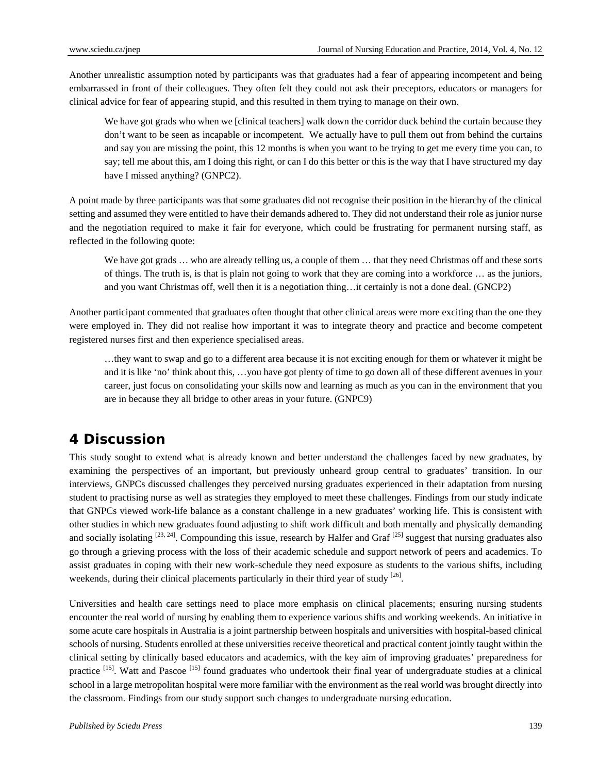Another unrealistic assumption noted by participants was that graduates had a fear of appearing incompetent and being embarrassed in front of their colleagues. They often felt they could not ask their preceptors, educators or managers for clinical advice for fear of appearing stupid, and this resulted in them trying to manage on their own.

We have got grads who when we [clinical teachers] walk down the corridor duck behind the curtain because they don't want to be seen as incapable or incompetent. We actually have to pull them out from behind the curtains and say you are missing the point, this 12 months is when you want to be trying to get me every time you can, to say; tell me about this, am I doing this right, or can I do this better or this is the way that I have structured my day have I missed anything? (GNPC2).

A point made by three participants was that some graduates did not recognise their position in the hierarchy of the clinical setting and assumed they were entitled to have their demands adhered to. They did not understand their role as junior nurse and the negotiation required to make it fair for everyone, which could be frustrating for permanent nursing staff, as reflected in the following quote:

We have got grads ... who are already telling us, a couple of them ... that they need Christmas off and these sorts of things. The truth is, is that is plain not going to work that they are coming into a workforce … as the juniors, and you want Christmas off, well then it is a negotiation thing…it certainly is not a done deal. (GNCP2)

Another participant commented that graduates often thought that other clinical areas were more exciting than the one they were employed in. They did not realise how important it was to integrate theory and practice and become competent registered nurses first and then experience specialised areas.

…they want to swap and go to a different area because it is not exciting enough for them or whatever it might be and it is like 'no' think about this, …you have got plenty of time to go down all of these different avenues in your career, just focus on consolidating your skills now and learning as much as you can in the environment that you are in because they all bridge to other areas in your future. (GNPC9)

# **4 Discussion**

This study sought to extend what is already known and better understand the challenges faced by new graduates, by examining the perspectives of an important, but previously unheard group central to graduates' transition. In our interviews, GNPCs discussed challenges they perceived nursing graduates experienced in their adaptation from nursing student to practising nurse as well as strategies they employed to meet these challenges. Findings from our study indicate that GNPCs viewed work-life balance as a constant challenge in a new graduates' working life. This is consistent with other studies in which new graduates found adjusting to shift work difficult and both mentally and physically demanding and socially isolating  $[23, 24]$ . Compounding this issue, research by Halfer and Graf  $[25]$  suggest that nursing graduates also go through a grieving process with the loss of their academic schedule and support network of peers and academics. To assist graduates in coping with their new work-schedule they need exposure as students to the various shifts, including weekends, during their clinical placements particularly in their third year of study  $^{[26]}$ .

Universities and health care settings need to place more emphasis on clinical placements; ensuring nursing students encounter the real world of nursing by enabling them to experience various shifts and working weekends. An initiative in some acute care hospitals in Australia is a joint partnership between hospitals and universities with hospital-based clinical schools of nursing. Students enrolled at these universities receive theoretical and practical content jointly taught within the clinical setting by clinically based educators and academics, with the key aim of improving graduates' preparedness for practice  $[15]$ . Watt and Pascoe  $[15]$  found graduates who undertook their final year of undergraduate studies at a clinical school in a large metropolitan hospital were more familiar with the environment as the real world was brought directly into the classroom. Findings from our study support such changes to undergraduate nursing education.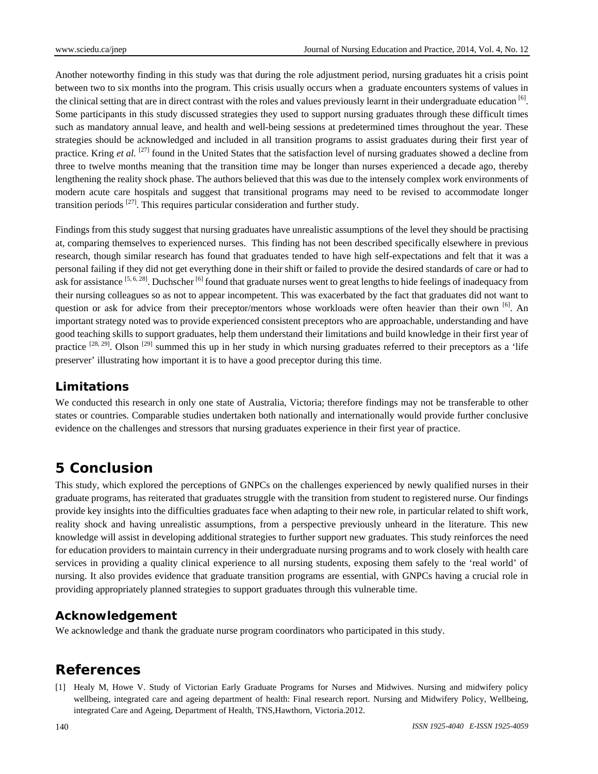Another noteworthy finding in this study was that during the role adjustment period, nursing graduates hit a crisis point between two to six months into the program. This crisis usually occurs when a graduate encounters systems of values in the clinical setting that are in direct contrast with the roles and values previously learnt in their undergraduate education [6]. Some participants in this study discussed strategies they used to support nursing graduates through these difficult times such as mandatory annual leave, and health and well-being sessions at predetermined times throughout the year. These strategies should be acknowledged and included in all transition programs to assist graduates during their first year of practice. Kring *et al.* [27] found in the United States that the satisfaction level of nursing graduates showed a decline from three to twelve months meaning that the transition time may be longer than nurses experienced a decade ago, thereby lengthening the reality shock phase. The authors believed that this was due to the intensely complex work environments of modern acute care hospitals and suggest that transitional programs may need to be revised to accommodate longer transition periods  $[27]$ . This requires particular consideration and further study.

Findings from this study suggest that nursing graduates have unrealistic assumptions of the level they should be practising at, comparing themselves to experienced nurses. This finding has not been described specifically elsewhere in previous research, though similar research has found that graduates tended to have high self-expectations and felt that it was a personal failing if they did not get everything done in their shift or failed to provide the desired standards of care or had to ask for assistance  $[5, 6, 28]$ . Duchscher  $[6]$  found that graduate nurses went to great lengths to hide feelings of inadequacy from their nursing colleagues so as not to appear incompetent. This was exacerbated by the fact that graduates did not want to question or ask for advice from their preceptor/mentors whose workloads were often heavier than their own [6]. An important strategy noted was to provide experienced consistent preceptors who are approachable, understanding and have good teaching skills to support graduates, help them understand their limitations and build knowledge in their first year of practice  $^{[28, 29]}$ . Olson  $^{[29]}$  summed this up in her study in which nursing graduates referred to their preceptors as a 'life preserver' illustrating how important it is to have a good preceptor during this time.

#### **Limitations**

We conducted this research in only one state of Australia, Victoria; therefore findings may not be transferable to other states or countries. Comparable studies undertaken both nationally and internationally would provide further conclusive evidence on the challenges and stressors that nursing graduates experience in their first year of practice.

# **5 Conclusion**

This study, which explored the perceptions of GNPCs on the challenges experienced by newly qualified nurses in their graduate programs, has reiterated that graduates struggle with the transition from student to registered nurse. Our findings provide key insights into the difficulties graduates face when adapting to their new role, in particular related to shift work, reality shock and having unrealistic assumptions, from a perspective previously unheard in the literature. This new knowledge will assist in developing additional strategies to further support new graduates. This study reinforces the need for education providers to maintain currency in their undergraduate nursing programs and to work closely with health care services in providing a quality clinical experience to all nursing students, exposing them safely to the 'real world' of nursing. It also provides evidence that graduate transition programs are essential, with GNPCs having a crucial role in providing appropriately planned strategies to support graduates through this vulnerable time.

#### **Acknowledgement**

We acknowledge and thank the graduate nurse program coordinators who participated in this study.

# **References**

[1] Healy M, Howe V. Study of Victorian Early Graduate Programs for Nurses and Midwives. Nursing and midwifery policy wellbeing, integrated care and ageing department of health: Final research report. Nursing and Midwifery Policy, Wellbeing, integrated Care and Ageing, Department of Health, TNS,Hawthorn, Victoria.2012.